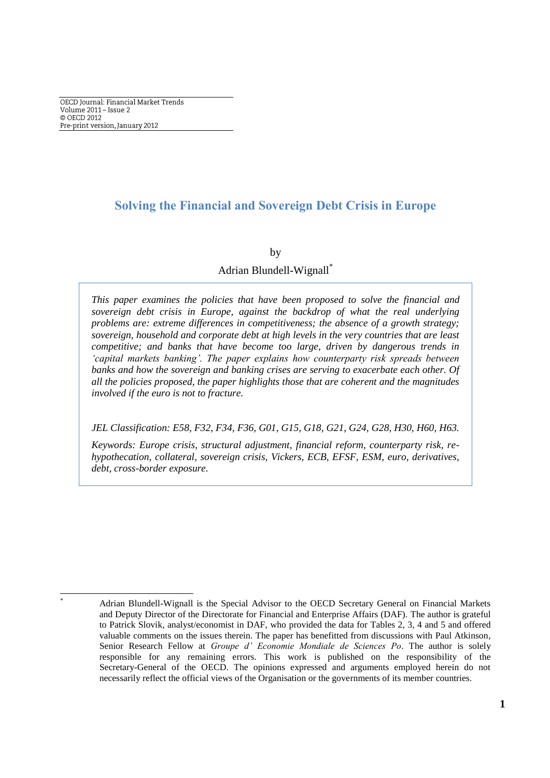OECD Journal: Financial Market Trends Volume 2011 - Issue 2 © OECD 2012 Pre-print version, January 2012

# **Solving the Financial and Sovereign Debt Crisis in Europe**

### by

## Adrian Blundell-Wignall\*

*This paper examines the policies that have been proposed to solve the financial and sovereign debt crisis in Europe, against the backdrop of what the real underlying problems are: extreme differences in competitiveness; the absence of a growth strategy; sovereign, household and corporate debt at high levels in the very countries that are least competitive; and banks that have become too large, driven by dangerous trends in 'capital markets banking'. The paper explains how counterparty risk spreads between banks and how the sovereign and banking crises are serving to exacerbate each other. Of all the policies proposed, the paper highlights those that are coherent and the magnitudes involved if the euro is not to fracture.*

*JEL Classification: E58, F32, F34, F36, G01, G15, G18, G21, G24, G28, H30, H60, H63.*

*Keywords: Europe crisis, structural adjustment, financial reform, counterparty risk, rehypothecation, collateral, sovereign crisis, Vickers, ECB, EFSF, ESM, euro, derivatives, debt, cross-border exposure.* 

 $\overline{a}$ 

Adrian Blundell-Wignall is the Special Advisor to the OECD Secretary General on Financial Markets and Deputy Director of the Directorate for Financial and Enterprise Affairs (DAF). The author is grateful to Patrick Slovik, analyst/economist in DAF, who provided the data for Tables 2, 3, 4 and 5 and offered valuable comments on the issues therein. The paper has benefitted from discussions with Paul Atkinson, Senior Research Fellow at *Groupe d' Economie Mondiale de Sciences Po*. The author is solely responsible for any remaining errors. This work is published on the responsibility of the Secretary-General of the OECD. The opinions expressed and arguments employed herein do not necessarily reflect the official views of the Organisation or the governments of its member countries.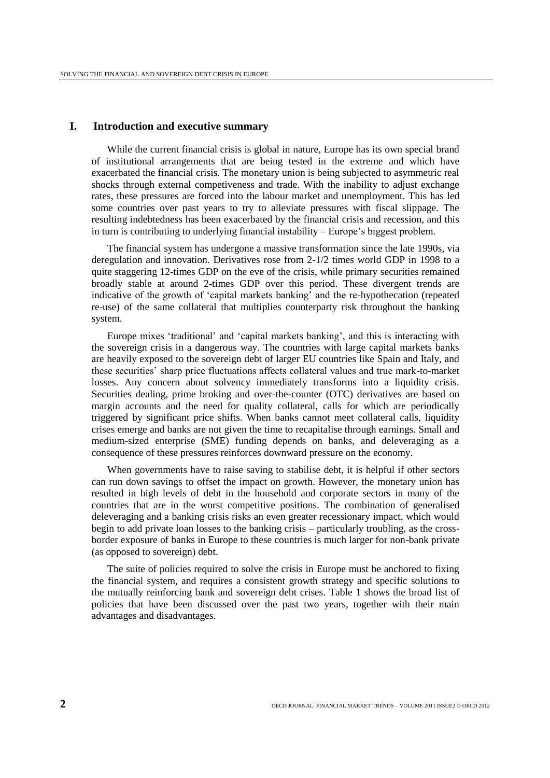## **I. Introduction and executive summary**

While the current financial crisis is global in nature, Europe has its own special brand of institutional arrangements that are being tested in the extreme and which have exacerbated the financial crisis. The monetary union is being subjected to asymmetric real shocks through external competiveness and trade. With the inability to adjust exchange rates, these pressures are forced into the labour market and unemployment. This has led some countries over past years to try to alleviate pressures with fiscal slippage. The resulting indebtedness has been exacerbated by the financial crisis and recession, and this in turn is contributing to underlying financial instability – Europe's biggest problem.

The financial system has undergone a massive transformation since the late 1990s, via deregulation and innovation. Derivatives rose from 2-1/2 times world GDP in 1998 to a quite staggering 12-times GDP on the eve of the crisis, while primary securities remained broadly stable at around 2-times GDP over this period. These divergent trends are indicative of the growth of "capital markets banking" and the re-hypothecation (repeated re-use) of the same collateral that multiplies counterparty risk throughout the banking system.

Europe mixes "traditional" and "capital markets banking", and this is interacting with the sovereign crisis in a dangerous way. The countries with large capital markets banks are heavily exposed to the sovereign debt of larger EU countries like Spain and Italy, and these securities" sharp price fluctuations affects collateral values and true mark-to-market losses. Any concern about solvency immediately transforms into a liquidity crisis. Securities dealing, prime broking and over-the-counter (OTC) derivatives are based on margin accounts and the need for quality collateral, calls for which are periodically triggered by significant price shifts. When banks cannot meet collateral calls, liquidity crises emerge and banks are not given the time to recapitalise through earnings. Small and medium-sized enterprise (SME) funding depends on banks, and deleveraging as a consequence of these pressures reinforces downward pressure on the economy.

When governments have to raise saving to stabilise debt, it is helpful if other sectors can run down savings to offset the impact on growth. However, the monetary union has resulted in high levels of debt in the household and corporate sectors in many of the countries that are in the worst competitive positions. The combination of generalised deleveraging and a banking crisis risks an even greater recessionary impact, which would begin to add private loan losses to the banking crisis – particularly troubling, as the crossborder exposure of banks in Europe to these countries is much larger for non-bank private (as opposed to sovereign) debt.

The suite of policies required to solve the crisis in Europe must be anchored to fixing the financial system, and requires a consistent growth strategy and specific solutions to the mutually reinforcing bank and sovereign debt crises. Table 1 shows the broad list of policies that have been discussed over the past two years, together with their main advantages and disadvantages.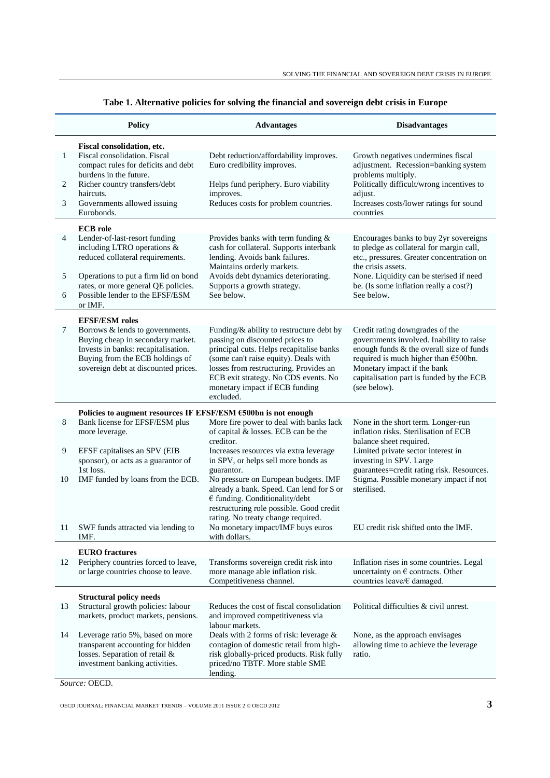|              | <b>Policy</b>                                                                                                                                                                          | <b>Advantages</b>                                                                                                                                                                                                                                                                                 | <b>Disadvantages</b>                                                                                                                                                                                                                                          |  |  |  |
|--------------|----------------------------------------------------------------------------------------------------------------------------------------------------------------------------------------|---------------------------------------------------------------------------------------------------------------------------------------------------------------------------------------------------------------------------------------------------------------------------------------------------|---------------------------------------------------------------------------------------------------------------------------------------------------------------------------------------------------------------------------------------------------------------|--|--|--|
|              | Fiscal consolidation, etc.                                                                                                                                                             |                                                                                                                                                                                                                                                                                                   |                                                                                                                                                                                                                                                               |  |  |  |
| $\mathbf{1}$ | Fiscal consolidation. Fiscal<br>compact rules for deficits and debt<br>burdens in the future.                                                                                          | Debt reduction/affordability improves.<br>Euro credibility improves.                                                                                                                                                                                                                              | Growth negatives undermines fiscal<br>adjustment. Recession=banking system<br>problems multiply.                                                                                                                                                              |  |  |  |
| 2            | Richer country transfers/debt<br>haircuts.                                                                                                                                             | Helps fund periphery. Euro viability<br>improves.                                                                                                                                                                                                                                                 | Politically difficult/wrong incentives to<br>adjust.                                                                                                                                                                                                          |  |  |  |
| 3            | Governments allowed issuing<br>Eurobonds.                                                                                                                                              | Reduces costs for problem countries.                                                                                                                                                                                                                                                              | Increases costs/lower ratings for sound<br>countries                                                                                                                                                                                                          |  |  |  |
|              | <b>ECB</b> role                                                                                                                                                                        |                                                                                                                                                                                                                                                                                                   |                                                                                                                                                                                                                                                               |  |  |  |
| 4            | Lender-of-last-resort funding<br>including LTRO operations &<br>reduced collateral requirements.                                                                                       | Provides banks with term funding $\&$<br>cash for collateral. Supports interbank<br>lending. Avoids bank failures.<br>Maintains orderly markets.                                                                                                                                                  | Encourages banks to buy 2yr sovereigns<br>to pledge as collateral for margin call,<br>etc., pressures. Greater concentration on<br>the crisis assets.                                                                                                         |  |  |  |
| 5            | Operations to put a firm lid on bond                                                                                                                                                   | Avoids debt dynamics deteriorating.                                                                                                                                                                                                                                                               | None. Liquidity can be sterised if need                                                                                                                                                                                                                       |  |  |  |
| 6            | rates, or more general QE policies.<br>Possible lender to the EFSF/ESM<br>or IMF.                                                                                                      | Supports a growth strategy.<br>See below.                                                                                                                                                                                                                                                         | be. (Is some inflation really a cost?)<br>See below.                                                                                                                                                                                                          |  |  |  |
|              | <b>EFSF/ESM</b> roles                                                                                                                                                                  |                                                                                                                                                                                                                                                                                                   |                                                                                                                                                                                                                                                               |  |  |  |
| 7            | Borrows & lends to governments.<br>Buying cheap in secondary market.<br>Invests in banks: recapitalisation.<br>Buying from the ECB holdings of<br>sovereign debt at discounted prices. | Funding/& ability to restructure debt by<br>passing on discounted prices to<br>principal cuts. Helps recapitalise banks<br>(some can't raise equity). Deals with<br>losses from restructuring. Provides an<br>ECB exit strategy. No CDS events. No<br>monetary impact if ECB funding<br>excluded. | Credit rating downgrades of the<br>governments involved. Inability to raise<br>enough funds & the overall size of funds<br>required is much higher than $€500$ bn.<br>Monetary impact if the bank<br>capitalisation part is funded by the ECB<br>(see below). |  |  |  |
|              | Policies to augment resources IF EFSF/ESM €500bn is not enough                                                                                                                         |                                                                                                                                                                                                                                                                                                   |                                                                                                                                                                                                                                                               |  |  |  |
| 8            | Bank license for EFSF/ESM plus<br>more leverage.                                                                                                                                       | More fire power to deal with banks lack<br>of capital & losses. ECB can be the<br>creditor.                                                                                                                                                                                                       | None in the short term. Longer-run<br>inflation risks. Sterilisation of ECB<br>balance sheet required.                                                                                                                                                        |  |  |  |
| 9            | EFSF capitalises an SPV (EIB<br>sponsor), or acts as a guarantor of                                                                                                                    | Increases resources via extra leverage<br>in SPV, or helps sell more bonds as                                                                                                                                                                                                                     | Limited private sector interest in<br>investing in SPV. Large                                                                                                                                                                                                 |  |  |  |
| 10           | 1st loss.<br>IMF funded by loans from the ECB.                                                                                                                                         | guarantor.<br>No pressure on European budgets. IMF<br>already a bank. Speed. Can lend for \$ or<br>$\epsilon$ funding. Conditionality/debt<br>restructuring role possible. Good credit<br>rating. No treaty change required.                                                                      | guarantees=credit rating risk. Resources.<br>Stigma. Possible monetary impact if not<br>sterilised.                                                                                                                                                           |  |  |  |
|              | 11 SWF funds attracted via lending to<br>IMF.                                                                                                                                          | No monetary impact/IMF buys euros<br>with dollars.                                                                                                                                                                                                                                                | EU credit risk shifted onto the IMF.                                                                                                                                                                                                                          |  |  |  |
|              | <b>EURO</b> fractures                                                                                                                                                                  |                                                                                                                                                                                                                                                                                                   |                                                                                                                                                                                                                                                               |  |  |  |
| 12           | Periphery countries forced to leave,<br>or large countries choose to leave.                                                                                                            | Transforms sovereign credit risk into<br>more manage able inflation risk.<br>Competitiveness channel.                                                                                                                                                                                             | Inflation rises in some countries. Legal<br>uncertainty on $\epsilon$ contracts. Other<br>countries leave/€ damaged.                                                                                                                                          |  |  |  |
|              | <b>Structural policy needs</b>                                                                                                                                                         |                                                                                                                                                                                                                                                                                                   |                                                                                                                                                                                                                                                               |  |  |  |
| 13           | Structural growth policies: labour<br>markets, product markets, pensions.                                                                                                              | Reduces the cost of fiscal consolidation<br>and improved competitiveness via<br>labour markets.                                                                                                                                                                                                   | Political difficulties & civil unrest.                                                                                                                                                                                                                        |  |  |  |
| 14           | Leverage ratio 5%, based on more<br>transparent accounting for hidden<br>losses. Separation of retail &<br>investment banking activities.                                              | Deals with 2 forms of risk: leverage &<br>contagion of domestic retail from high-<br>risk globally-priced products. Risk fully<br>priced/no TBTF. More stable SME<br>lending.                                                                                                                     | None, as the approach envisages<br>allowing time to achieve the leverage<br>ratio.                                                                                                                                                                            |  |  |  |

| Tabe 1. Alternative policies for solving the financial and sovereign debt crisis in Europe |  |  |  |  |
|--------------------------------------------------------------------------------------------|--|--|--|--|
|                                                                                            |  |  |  |  |

*Source:* OECD.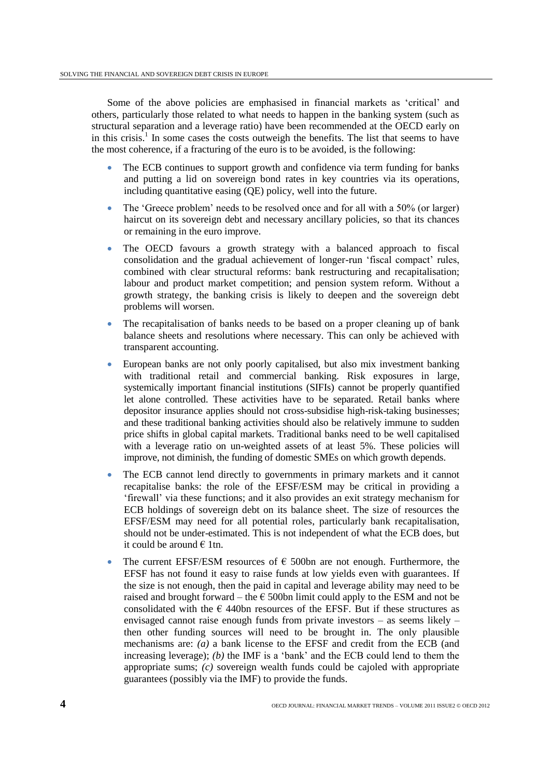Some of the above policies are emphasised in financial markets as "critical" and others, particularly those related to what needs to happen in the banking system (such as structural separation and a leverage ratio) have been recommended at the OECD early on in this crisis. 1 In some cases the costs outweigh the benefits. The list that seems to have the most coherence, if a fracturing of the euro is to be avoided, is the following:

- The ECB continues to support growth and confidence via term funding for banks and putting a lid on sovereign bond rates in key countries via its operations, including quantitative easing (QE) policy, well into the future.
- The 'Greece problem' needs to be resolved once and for all with a 50% (or larger) haircut on its sovereign debt and necessary ancillary policies, so that its chances or remaining in the euro improve.
- The OECD favours a growth strategy with a balanced approach to fiscal consolidation and the gradual achievement of longer-run "fiscal compact" rules, combined with clear structural reforms: bank restructuring and recapitalisation; labour and product market competition; and pension system reform. Without a growth strategy, the banking crisis is likely to deepen and the sovereign debt problems will worsen.
- The recapitalisation of banks needs to be based on a proper cleaning up of bank balance sheets and resolutions where necessary. This can only be achieved with transparent accounting.
- European banks are not only poorly capitalised, but also mix investment banking with traditional retail and commercial banking. Risk exposures in large, systemically important financial institutions (SIFIs) cannot be properly quantified let alone controlled. These activities have to be separated. Retail banks where depositor insurance applies should not cross-subsidise high-risk-taking businesses; and these traditional banking activities should also be relatively immune to sudden price shifts in global capital markets. Traditional banks need to be well capitalised with a leverage ratio on un-weighted assets of at least 5%. These policies will improve, not diminish, the funding of domestic SMEs on which growth depends.
- The ECB cannot lend directly to governments in primary markets and it cannot recapitalise banks: the role of the EFSF/ESM may be critical in providing a "firewall" via these functions; and it also provides an exit strategy mechanism for ECB holdings of sovereign debt on its balance sheet. The size of resources the EFSF/ESM may need for all potential roles, particularly bank recapitalisation, should not be under-estimated. This is not independent of what the ECB does, but it could be around  $\in$  1tn.
- The current EFSF/ESM resources of  $\epsilon$  500bn are not enough. Furthermore, the EFSF has not found it easy to raise funds at low yields even with guarantees. If the size is not enough, then the paid in capital and leverage ability may need to be raised and brought forward – the  $\epsilon$  500bn limit could apply to the ESM and not be consolidated with the  $\epsilon$  440bn resources of the EFSF. But if these structures as envisaged cannot raise enough funds from private investors – as seems likely – then other funding sources will need to be brought in. The only plausible mechanisms are: *(a)* a bank license to the EFSF and credit from the ECB (and increasing leverage); *(b)* the IMF is a 'bank' and the ECB could lend to them the appropriate sums; *(c)* sovereign wealth funds could be cajoled with appropriate guarantees (possibly via the IMF) to provide the funds.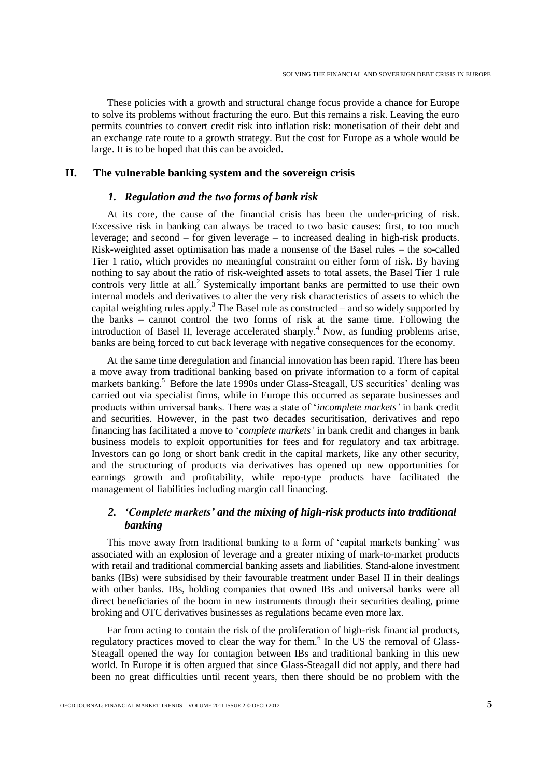These policies with a growth and structural change focus provide a chance for Europe to solve its problems without fracturing the euro. But this remains a risk. Leaving the euro permits countries to convert credit risk into inflation risk: monetisation of their debt and an exchange rate route to a growth strategy. But the cost for Europe as a whole would be large. It is to be hoped that this can be avoided.

## **II. The vulnerable banking system and the sovereign crisis**

## *1. Regulation and the two forms of bank risk*

At its core, the cause of the financial crisis has been the under-pricing of risk. Excessive risk in banking can always be traced to two basic causes: first, to too much leverage; and second – for given leverage – to increased dealing in high-risk products. Risk-weighted asset optimisation has made a nonsense of the Basel rules – the so-called Tier 1 ratio, which provides no meaningful constraint on either form of risk. By having nothing to say about the ratio of risk-weighted assets to total assets, the Basel Tier 1 rule controls very little at all.<sup>2</sup> Systemically important banks are permitted to use their own internal models and derivatives to alter the very risk characteristics of assets to which the capital weighting rules apply.<sup>3</sup> The Basel rule as constructed  $-$  and so widely supported by the banks – cannot control the two forms of risk at the same time. Following the introduction of Basel II, leverage accelerated sharply.<sup>4</sup> Now, as funding problems arise, banks are being forced to cut back leverage with negative consequences for the economy.

At the same time deregulation and financial innovation has been rapid. There has been a move away from traditional banking based on private information to a form of capital markets banking.<sup>5</sup> Before the late 1990s under Glass-Steagall, US securities' dealing was carried out via specialist firms, while in Europe this occurred as separate businesses and products within universal banks. There was a state of "*incomplete markets'* in bank credit and securities. However, in the past two decades securitisation, derivatives and repo financing has facilitated a move to "*complete markets'* in bank credit and changes in bank business models to exploit opportunities for fees and for regulatory and tax arbitrage. Investors can go long or short bank credit in the capital markets, like any other security, and the structuring of products via derivatives has opened up new opportunities for earnings growth and profitability, while repo-type products have facilitated the management of liabilities including margin call financing.

## *2. 'Complete markets' and the mixing of high-risk products into traditional banking*

This move away from traditional banking to a form of "capital markets banking" was associated with an explosion of leverage and a greater mixing of mark-to-market products with retail and traditional commercial banking assets and liabilities. Stand-alone investment banks (IBs) were subsidised by their favourable treatment under Basel II in their dealings with other banks. IBs, holding companies that owned IBs and universal banks were all direct beneficiaries of the boom in new instruments through their securities dealing, prime broking and OTC derivatives businesses as regulations became even more lax.

Far from acting to contain the risk of the proliferation of high-risk financial products, regulatory practices moved to clear the way for them.<sup>6</sup> In the US the removal of Glass-Steagall opened the way for contagion between IBs and traditional banking in this new world. In Europe it is often argued that since Glass-Steagall did not apply, and there had been no great difficulties until recent years, then there should be no problem with the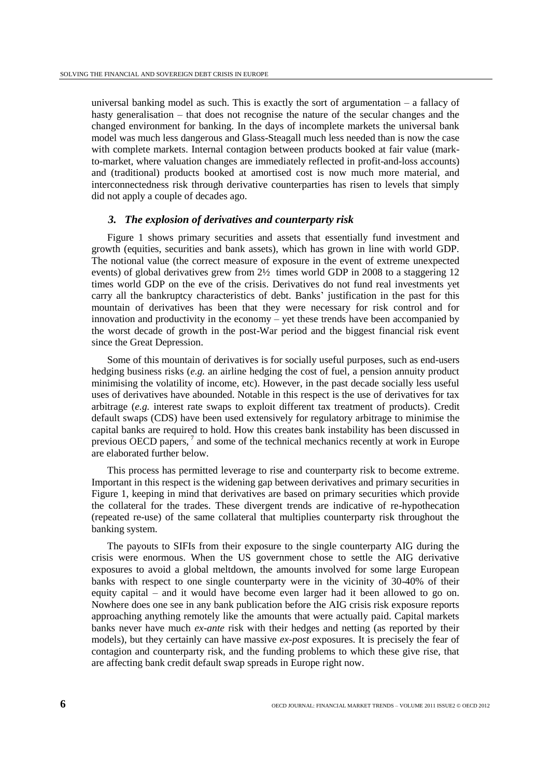universal banking model as such. This is exactly the sort of argumentation  $-$  a fallacy of hasty generalisation – that does not recognise the nature of the secular changes and the changed environment for banking. In the days of incomplete markets the universal bank model was much less dangerous and Glass-Steagall much less needed than is now the case with complete markets. Internal contagion between products booked at fair value (markto-market, where valuation changes are immediately reflected in profit-and-loss accounts) and (traditional) products booked at amortised cost is now much more material, and interconnectedness risk through derivative counterparties has risen to levels that simply did not apply a couple of decades ago.

## *3. The explosion of derivatives and counterparty risk*

Figure 1 shows primary securities and assets that essentially fund investment and growth (equities, securities and bank assets), which has grown in line with world GDP. The notional value (the correct measure of exposure in the event of extreme unexpected events) of global derivatives grew from 2½ times world GDP in 2008 to a staggering 12 times world GDP on the eve of the crisis. Derivatives do not fund real investments yet carry all the bankruptcy characteristics of debt. Banks' justification in the past for this mountain of derivatives has been that they were necessary for risk control and for innovation and productivity in the economy – yet these trends have been accompanied by the worst decade of growth in the post-War period and the biggest financial risk event since the Great Depression.

Some of this mountain of derivatives is for socially useful purposes, such as end-users hedging business risks (*e.g.* an airline hedging the cost of fuel, a pension annuity product minimising the volatility of income, etc). However, in the past decade socially less useful uses of derivatives have abounded. Notable in this respect is the use of derivatives for tax arbitrage (*e.g.* interest rate swaps to exploit different tax treatment of products). Credit default swaps (CDS) have been used extensively for regulatory arbitrage to minimise the capital banks are required to hold. How this creates bank instability has been discussed in previous OECD papers,<sup>7</sup> and some of the technical mechanics recently at work in Europe are elaborated further below.

This process has permitted leverage to rise and counterparty risk to become extreme. Important in this respect is the widening gap between derivatives and primary securities in Figure 1, keeping in mind that derivatives are based on primary securities which provide the collateral for the trades. These divergent trends are indicative of re-hypothecation (repeated re-use) of the same collateral that multiplies counterparty risk throughout the banking system.

The payouts to SIFIs from their exposure to the single counterparty AIG during the crisis were enormous. When the US government chose to settle the AIG derivative exposures to avoid a global meltdown, the amounts involved for some large European banks with respect to one single counterparty were in the vicinity of 30-40% of their equity capital – and it would have become even larger had it been allowed to go on. Nowhere does one see in any bank publication before the AIG crisis risk exposure reports approaching anything remotely like the amounts that were actually paid. Capital markets banks never have much *ex-ante* risk with their hedges and netting (as reported by their models), but they certainly can have massive *ex-post* exposures. It is precisely the fear of contagion and counterparty risk, and the funding problems to which these give rise, that are affecting bank credit default swap spreads in Europe right now.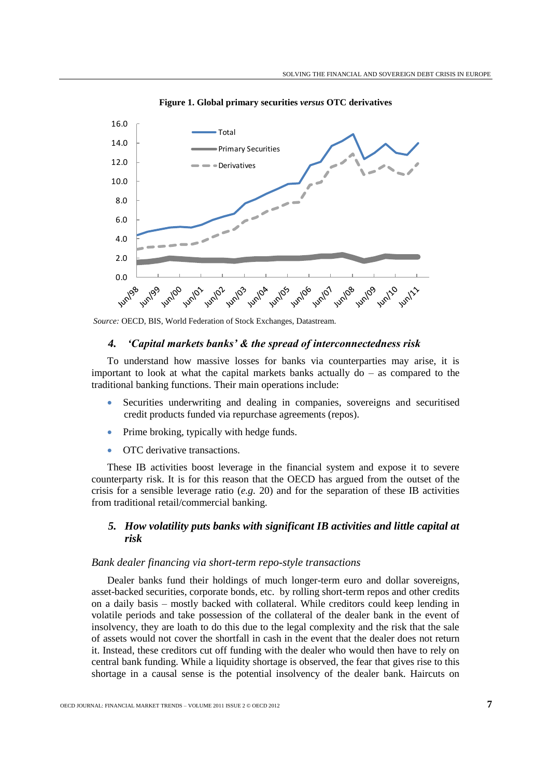

**Figure 1. Global primary securities** *versus* **OTC derivatives**

## *4. 'Capital markets banks' & the spread of interconnectedness risk*

To understand how massive losses for banks via counterparties may arise, it is important to look at what the capital markets banks actually  $d\sigma$  – as compared to the traditional banking functions. Their main operations include:

- Securities underwriting and dealing in companies, sovereigns and securitised credit products funded via repurchase agreements (repos).
- Prime broking, typically with hedge funds.
- OTC derivative transactions.

These IB activities boost leverage in the financial system and expose it to severe counterparty risk. It is for this reason that the OECD has argued from the outset of the crisis for a sensible leverage ratio  $(e, g, 20)$  and for the separation of these IB activities from traditional retail/commercial banking.

## *5. How volatility puts banks with significant IB activities and little capital at risk*

#### *Bank dealer financing via short-term repo-style transactions*

Dealer banks fund their holdings of much longer-term euro and dollar sovereigns, asset-backed securities, corporate bonds, etc. by rolling short-term repos and other credits on a daily basis – mostly backed with collateral. While creditors could keep lending in volatile periods and take possession of the collateral of the dealer bank in the event of insolvency, they are loath to do this due to the legal complexity and the risk that the sale of assets would not cover the shortfall in cash in the event that the dealer does not return it. Instead, these creditors cut off funding with the dealer who would then have to rely on central bank funding. While a liquidity shortage is observed, the fear that gives rise to this shortage in a causal sense is the potential insolvency of the dealer bank. Haircuts on

*Source:* OECD, BIS, World Federation of Stock Exchanges, Datastream.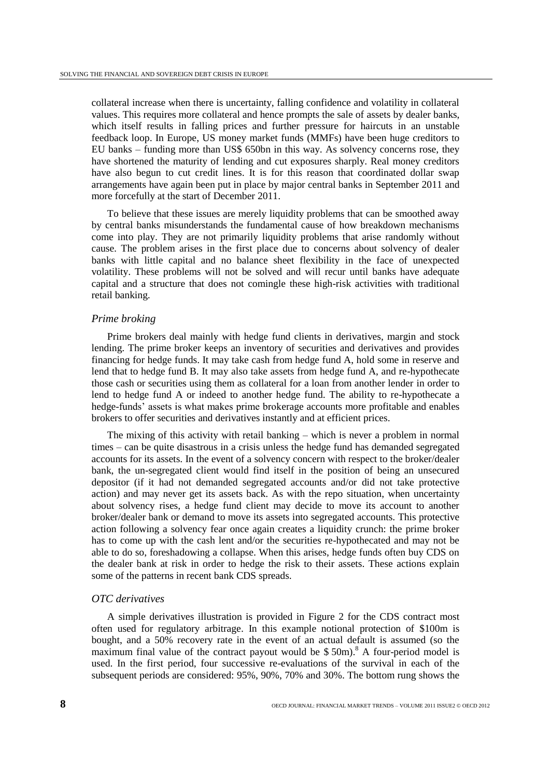collateral increase when there is uncertainty, falling confidence and volatility in collateral values. This requires more collateral and hence prompts the sale of assets by dealer banks, which itself results in falling prices and further pressure for haircuts in an unstable feedback loop. In Europe, US money market funds (MMFs) have been huge creditors to EU banks – funding more than US\$ 650bn in this way. As solvency concerns rose, they have shortened the maturity of lending and cut exposures sharply. Real money creditors have also begun to cut credit lines. It is for this reason that coordinated dollar swap arrangements have again been put in place by major central banks in September 2011 and more forcefully at the start of December 2011.

To believe that these issues are merely liquidity problems that can be smoothed away by central banks misunderstands the fundamental cause of how breakdown mechanisms come into play. They are not primarily liquidity problems that arise randomly without cause. The problem arises in the first place due to concerns about solvency of dealer banks with little capital and no balance sheet flexibility in the face of unexpected volatility. These problems will not be solved and will recur until banks have adequate capital and a structure that does not comingle these high-risk activities with traditional retail banking.

### *Prime broking*

Prime brokers deal mainly with hedge fund clients in derivatives, margin and stock lending. The prime broker keeps an inventory of securities and derivatives and provides financing for hedge funds. It may take cash from hedge fund A, hold some in reserve and lend that to hedge fund B. It may also take assets from hedge fund A, and re-hypothecate those cash or securities using them as collateral for a loan from another lender in order to lend to hedge fund A or indeed to another hedge fund. The ability to re-hypothecate a hedge-funds" assets is what makes prime brokerage accounts more profitable and enables brokers to offer securities and derivatives instantly and at efficient prices.

The mixing of this activity with retail banking – which is never a problem in normal times – can be quite disastrous in a crisis unless the hedge fund has demanded segregated accounts for its assets. In the event of a solvency concern with respect to the broker/dealer bank, the un-segregated client would find itself in the position of being an unsecured depositor (if it had not demanded segregated accounts and/or did not take protective action) and may never get its assets back. As with the repo situation, when uncertainty about solvency rises, a hedge fund client may decide to move its account to another broker/dealer bank or demand to move its assets into segregated accounts. This protective action following a solvency fear once again creates a liquidity crunch: the prime broker has to come up with the cash lent and/or the securities re-hypothecated and may not be able to do so, foreshadowing a collapse. When this arises, hedge funds often buy CDS on the dealer bank at risk in order to hedge the risk to their assets. These actions explain some of the patterns in recent bank CDS spreads.

#### *OTC derivatives*

A simple derivatives illustration is provided in Figure 2 for the CDS contract most often used for regulatory arbitrage. In this example notional protection of \$100m is bought, and a 50% recovery rate in the event of an actual default is assumed (so the maximum final value of the contract payout would be  $$50m$ .<sup>8</sup> A four-period model is used. In the first period, four successive re-evaluations of the survival in each of the subsequent periods are considered: 95%, 90%, 70% and 30%. The bottom rung shows the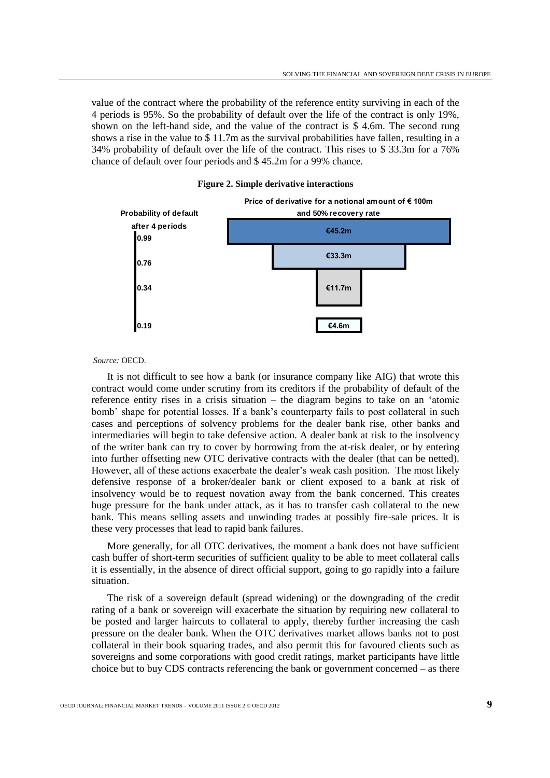value of the contract where the probability of the reference entity surviving in each of the 4 periods is 95%. So the probability of default over the life of the contract is only 19%, shown on the left-hand side, and the value of the contract is \$ 4.6m. The second rung shows a rise in the value to \$ 11.7m as the survival probabilities have fallen, resulting in a 34% probability of default over the life of the contract. This rises to \$ 33.3m for a 76% chance of default over four periods and \$ 45.2m for a 99% chance.



#### **Figure 2. Simple derivative interactions**

#### *Source:* OECD.

It is not difficult to see how a bank (or insurance company like AIG) that wrote this contract would come under scrutiny from its creditors if the probability of default of the reference entity rises in a crisis situation – the diagram begins to take on an "atomic bomb" shape for potential losses. If a bank"s counterparty fails to post collateral in such cases and perceptions of solvency problems for the dealer bank rise, other banks and intermediaries will begin to take defensive action. A dealer bank at risk to the insolvency of the writer bank can try to cover by borrowing from the at-risk dealer, or by entering into further offsetting new OTC derivative contracts with the dealer (that can be netted). However, all of these actions exacerbate the dealer"s weak cash position. The most likely defensive response of a broker/dealer bank or client exposed to a bank at risk of insolvency would be to request novation away from the bank concerned. This creates huge pressure for the bank under attack, as it has to transfer cash collateral to the new bank. This means selling assets and unwinding trades at possibly fire-sale prices. It is these very processes that lead to rapid bank failures.

More generally, for all OTC derivatives, the moment a bank does not have sufficient cash buffer of short-term securities of sufficient quality to be able to meet collateral calls it is essentially, in the absence of direct official support, going to go rapidly into a failure situation.

The risk of a sovereign default (spread widening) or the downgrading of the credit rating of a bank or sovereign will exacerbate the situation by requiring new collateral to be posted and larger haircuts to collateral to apply, thereby further increasing the cash pressure on the dealer bank. When the OTC derivatives market allows banks not to post collateral in their book squaring trades, and also permit this for favoured clients such as sovereigns and some corporations with good credit ratings, market participants have little choice but to buy CDS contracts referencing the bank or government concerned – as there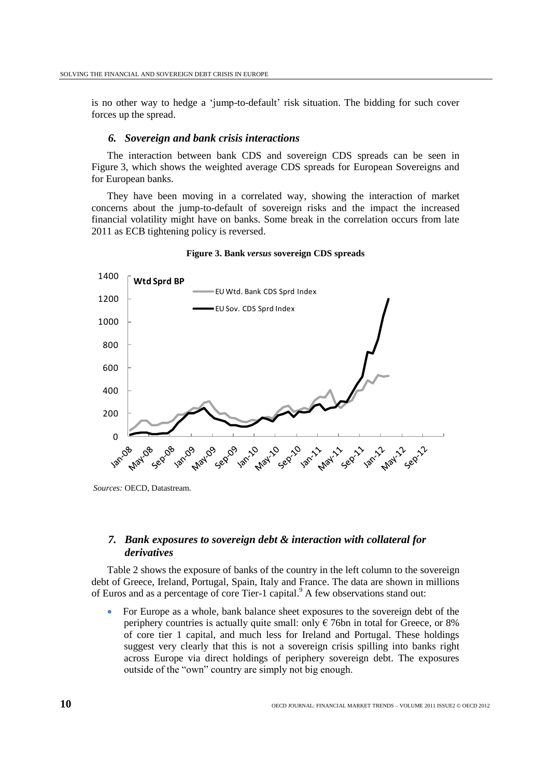is no other way to hedge a 'jump-to-default' risk situation. The bidding for such cover forces up the spread.

### *6. Sovereign and bank crisis interactions*

The interaction between bank CDS and sovereign CDS spreads can be seen in Figure 3, which shows the weighted average CDS spreads for European Sovereigns and for European banks.

They have been moving in a correlated way, showing the interaction of market concerns about the jump-to-default of sovereign risks and the impact the increased financial volatility might have on banks. Some break in the correlation occurs from late 2011 as ECB tightening policy is reversed.



#### **Figure 3. Bank** *versus* **sovereign CDS spreads**

*Sources:* OECD, Datastream.

# *7. Bank exposures to sovereign debt & interaction with collateral for derivatives*

Table 2 shows the exposure of banks of the country in the left column to the sovereign debt of Greece, Ireland, Portugal, Spain, Italy and France. The data are shown in millions of Euros and as a percentage of core Tier-1 capital.<sup>9</sup> A few observations stand out:

 For Europe as a whole, bank balance sheet exposures to the sovereign debt of the periphery countries is actually quite small: only  $\epsilon$  76bn in total for Greece, or 8% of core tier 1 capital, and much less for Ireland and Portugal. These holdings suggest very clearly that this is not a sovereign crisis spilling into banks right across Europe via direct holdings of periphery sovereign debt. The exposures outside of the "own" country are simply not big enough.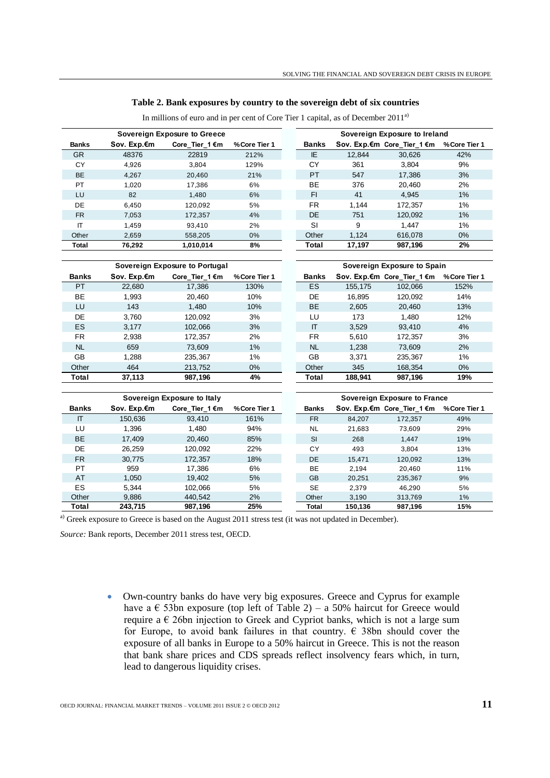### **Table 2. Bank exposures by country to the sovereign debt of six countries**

|              | Sovereign Exposure to Greece |                                        |               |  |              | Sovereign Exposure to Ireland |                             |               |  |  |  |
|--------------|------------------------------|----------------------------------------|---------------|--|--------------|-------------------------------|-----------------------------|---------------|--|--|--|
| <b>Banks</b> | Sov. Exp.€m                  | Core_Tier_1 €m                         | % Core Tier 1 |  | <b>Banks</b> |                               | Sov. Exp.€m Core_Tier_1 €m  | % Core Tier 1 |  |  |  |
| <b>GR</b>    | 48376                        | 22819                                  | 212%          |  | IE           | 12.844                        | 30.626                      | 42%           |  |  |  |
| CY           | 4,926                        | 3,804                                  | 129%          |  | СY           | 361                           | 3.804                       | 9%            |  |  |  |
| <b>BE</b>    | 4,267                        | 20.460                                 | 21%           |  | PT           | 547                           | 17,386                      | 3%            |  |  |  |
| PT           | 1,020                        | 17.386                                 | 6%            |  | ВE           | 376                           | 20.460                      | 2%            |  |  |  |
| LU           | 82                           | 1.480                                  | $6\%$         |  | <b>FI</b>    | 41                            | 4.945                       | 1%            |  |  |  |
| DE           | 6.450                        | 120.092                                | 5%            |  | <b>FR</b>    | 1.144                         | 172.357                     | 1%            |  |  |  |
| <b>FR</b>    | 7.053                        | 172.357                                | 4%            |  | <b>DE</b>    | 751                           | 120.092                     | 1%            |  |  |  |
| ΙT           | 1.459                        | 93.410                                 | 2%            |  | SI           | 9                             | 1.447                       | 1%            |  |  |  |
| Other        | 2,659                        | 558,205                                | $0\%$         |  | Other        | 1.124                         | 616.078                     | $0\%$         |  |  |  |
| Total        | 76,292                       | 1,010,014                              | 8%            |  | Total        | 17,197                        | 987,196                     | 2%            |  |  |  |
|              |                              | <b>Counsing Evenesies to Destring!</b> |               |  |              |                               | Paugusten Euseause te Posta |               |  |  |  |

In millions of euro and in per cent of Core Tier 1 capital, as of December 2011<sup>a)</sup>

| Total        | 76,292      | 1,010,014                      | 8%            | Total                        | 17,197  | 987,196                    | 2%            |  |  |
|--------------|-------------|--------------------------------|---------------|------------------------------|---------|----------------------------|---------------|--|--|
|              |             |                                |               |                              |         |                            |               |  |  |
|              |             | Sovereign Exposure to Portugal |               | Sovereign Exposure to Spain  |         |                            |               |  |  |
| <b>Banks</b> | Sov. Exp.€m | Core_Tier_1 €m                 | % Core Tier 1 | <b>Banks</b>                 |         | Sov. Exp.€m Core_Tier_1 €m | % Core Tier 1 |  |  |
| <b>PT</b>    | 22,680      | 17,386                         | 130%          | <b>ES</b>                    | 155,175 | 102,066                    | 152%          |  |  |
| BE           | 1,993       | 20,460                         | 10%           | DE                           | 16,895  | 120,092                    | 14%           |  |  |
| LU           | 143         | 1,480                          | 10%           | BE                           | 2,605   | 20,460                     | 13%           |  |  |
| DE           | 3,760       | 120,092                        | 3%            | LU                           | 173     | 1,480                      | 12%           |  |  |
| ES           | 3,177       | 102,066                        | 3%            | $\mathsf{I}\mathsf{T}$       | 3,529   | 93,410                     | 4%            |  |  |
| FR.          | 2,938       | 172,357                        | 2%            | <b>FR</b>                    | 5,610   | 172,357                    | 3%            |  |  |
| <b>NL</b>    | 659         | 73,609                         | 1%            | <b>NL</b>                    | 1,238   | 73,609                     | 2%            |  |  |
| GB           | 1,288       | 235,367                        | 1%            | GB                           | 3,371   | 235,367                    | 1%            |  |  |
| Other        | 464         | 213,752                        | 0%            | Other                        | 345     | 168,354                    | 0%            |  |  |
| Total        | 37,113      | 987,196                        | 4%            | Total                        | 188,941 | 987,196                    | 19%           |  |  |
|              |             |                                |               |                              |         |                            |               |  |  |
|              |             | Sovereign Exposure to Italy    |               | Sovereign Exposure to France |         |                            |               |  |  |
| <b>Banks</b> | Sov. Exp.€m | Core_Tier_1 €m                 | % Core Tier 1 | <b>Banks</b>                 |         | Sov. Exp.€m Core_Tier_1 €m | % Core Tier 1 |  |  |
| $\Pi$        | 150,636     | 93,410                         | 161%          | <b>FR</b>                    | 84,207  | 172,357                    | 49%           |  |  |
| LU           | 1,396       | 1,480                          | 94%           | <b>NL</b>                    | 21,683  | 73,609                     | 29%           |  |  |
| <b>BE</b>    | 17,409      | 20,460                         | 85%           | <b>SI</b>                    | 268     | 1,447                      | 19%           |  |  |
| DE           | 26,259      | 120,092                        | 22%           | CY                           | 493     | 3,804                      | 13%           |  |  |
| <b>FR</b>    | 30,775      | 172.357                        | 18%           | <b>DE</b>                    | 15,471  | 120,092                    | 13%           |  |  |
| PT           | 959         | 17,386                         | 6%            | BE                           | 2,194   | 20,460                     | 11%           |  |  |
| AT           | 1,050       | 19.402                         | 5%            | GB                           | 20,251  | 235,367                    | 9%            |  |  |
| ES           | 5,344       | 102,066                        | 5%            | <b>SE</b>                    | 2,379   | 46,290                     | 5%            |  |  |

01 120,092 22% CY 493 3,804 13%<br>
FR 30,775 172,357 18% DE 15,471 120,092 13%<br>
PT 959 17,386 6% BE 2,194 20,460 11%<br>
AT 1,050 19,402 5% GB 20,251 235,367 9%<br>
ES 5,344 102,066 5% SE 2,379 46,290 5%<br>
20ther 9,886 440,542 2% O 172,357 18% DE 15,471 120,092 13%<br>
PT 959 17,386 6% BE 2,194 20,460 11%<br>
AT 1,050 19,402 5% GB 20,251 235,367 9%<br>
ES 5,344 102,066 5% SE 2,379 46,290 5%<br>
Other 9,886 440,542 2% Other 3,190 313,769 1%<br>
Total 243,715 987,196

**Total 243,715 987,196 25% Total 150,136 987,196 15%**

a) Greek exposure to Greece is based on the August 2011 stress test (it was not updated in December).

*Source:* Bank reports, December 2011 stress test, OECD.

 Own-country banks do have very big exposures. Greece and Cyprus for example have a  $\epsilon$  53bn exposure (top left of Table 2) – a 50% haircut for Greece would require a  $\epsilon$  26bn injection to Greek and Cypriot banks, which is not a large sum for Europe, to avoid bank failures in that country.  $\epsilon$  38bn should cover the exposure of all banks in Europe to a 50% haircut in Greece. This is not the reason that bank share prices and CDS spreads reflect insolvency fears which, in turn, lead to dangerous liquidity crises.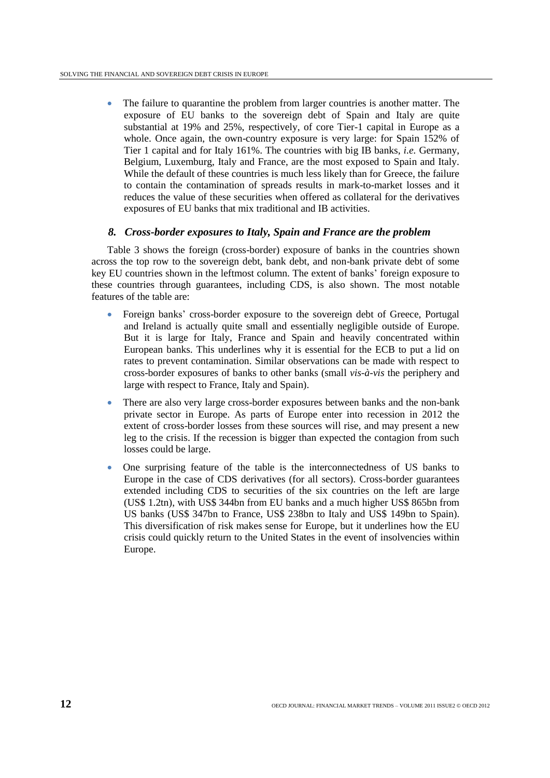The failure to quarantine the problem from larger countries is another matter. The exposure of EU banks to the sovereign debt of Spain and Italy are quite substantial at 19% and 25%, respectively, of core Tier-1 capital in Europe as a whole. Once again, the own-country exposure is very large: for Spain 152% of Tier 1 capital and for Italy 161%. The countries with big IB banks, *i.e.* Germany, Belgium, Luxemburg, Italy and France, are the most exposed to Spain and Italy. While the default of these countries is much less likely than for Greece, the failure to contain the contamination of spreads results in mark-to-market losses and it reduces the value of these securities when offered as collateral for the derivatives exposures of EU banks that mix traditional and IB activities.

## *8. Cross-border exposures to Italy, Spain and France are the problem*

Table 3 shows the foreign (cross-border) exposure of banks in the countries shown across the top row to the sovereign debt, bank debt, and non-bank private debt of some key EU countries shown in the leftmost column. The extent of banks" foreign exposure to these countries through guarantees, including CDS, is also shown. The most notable features of the table are:

- Foreign banks' cross-border exposure to the sovereign debt of Greece, Portugal and Ireland is actually quite small and essentially negligible outside of Europe. But it is large for Italy, France and Spain and heavily concentrated within European banks. This underlines why it is essential for the ECB to put a lid on rates to prevent contamination. Similar observations can be made with respect to cross-border exposures of banks to other banks (small *vis-à-vis* the periphery and large with respect to France, Italy and Spain).
- There are also very large cross-border exposures between banks and the non-bank private sector in Europe. As parts of Europe enter into recession in 2012 the extent of cross-border losses from these sources will rise, and may present a new leg to the crisis. If the recession is bigger than expected the contagion from such losses could be large.
- One surprising feature of the table is the interconnectedness of US banks to Europe in the case of CDS derivatives (for all sectors). Cross-border guarantees extended including CDS to securities of the six countries on the left are large (US\$ 1.2tn), with US\$ 344bn from EU banks and a much higher US\$ 865bn from US banks (US\$ 347bn to France, US\$ 238bn to Italy and US\$ 149bn to Spain). This diversification of risk makes sense for Europe, but it underlines how the EU crisis could quickly return to the United States in the event of insolvencies within Europe.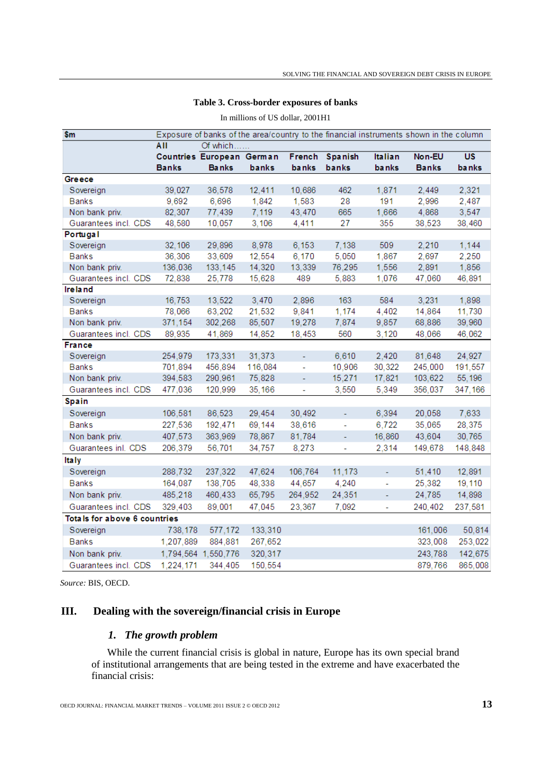| AII<br>Of which                                                                         |              |
|-----------------------------------------------------------------------------------------|--------------|
| Countries European German<br>French<br><b>Spanish</b><br><b>Italian</b><br>Non-EU       | <b>US</b>    |
| <b>Banks</b><br><b>Banks</b><br>banks<br>banks<br>banks<br><b>banks</b><br><b>Banks</b> | <b>banks</b> |
| Greece                                                                                  |              |
| 10,686<br>462<br>2,449<br>39,027<br>36,578<br>12,411<br>1,871<br>Sovereign              | 2,321        |
| <b>Banks</b><br>28<br>2,996<br>9,692<br>6,696<br>1,842<br>1,583<br>191                  | 2,487        |
| Non bank priv.<br>82,307<br>77,439<br>7,119<br>43,470<br>665<br>4,868<br>1,666          | 3,547        |
| Guarantees incl. CDS<br>48,580<br>10,057<br>3,106<br>4,411<br>27<br>355<br>38,523       | 38,460       |
| Portugal                                                                                |              |
| Sovereign<br>32,106<br>29,896<br>8,978<br>6,153<br>7,138<br>509<br>2,210                | 1,144        |
| <b>Banks</b><br>36,306<br>33,609<br>12,554<br>6,170<br>5,050<br>1,867<br>2,697          | 2,250        |
| 14,320<br>76,295<br>1,556<br>2,891<br>Non bank priv.<br>136,036<br>133,145<br>13,339    | 1,856        |
| Guarantees incl. CDS<br>489<br>72,838<br>25,778<br>15,628<br>5,883<br>1,076<br>47,060   | 46,891       |
| <b>Ireland</b>                                                                          |              |
| 16,753<br>13,522<br>3,470<br>2,896<br>163<br>584<br>3,231<br>Sovereign                  | 1,898        |
| 63,202<br>9,841<br>14,864<br><b>Banks</b><br>78,066<br>21,532<br>1,174<br>4,402         | 11,730       |
| Non bank priv.<br>371,154<br>302,268<br>19,278<br>68,886<br>85,507<br>7,874<br>9,857    | 39,960       |
| Guarantees incl. CDS<br>560<br>89,935<br>41,869<br>14,852<br>18,453<br>3,120<br>48,066  | 46,062       |
| <b>France</b>                                                                           |              |
| 2,420<br>81,648<br>254,979<br>173,331<br>31,373<br>6,610<br>Sovereign<br>ä,             | 24,927       |
| <b>Banks</b><br>30,322<br>701,894<br>456,894<br>116,084<br>10,906<br>245,000<br>ä,      | 191,557      |
| Non bank priv.<br>394,583<br>290,961<br>75,828<br>15,271<br>17,821<br>103,622<br>÷,     | 55,196       |
| Guarantees incl. CDS<br>477,036<br>120,999<br>35,166<br>3,550<br>5,349<br>356,037<br>÷, | 347,166      |
| <b>Spain</b>                                                                            |              |
| 106,581<br>86,523<br>30,492<br>6,394<br>20,058<br>Sovereign<br>29,454                   | 7,633        |
| <b>Banks</b><br>227,536<br>192,471<br>69,144<br>38,616<br>6,722<br>35,065<br>÷,         | 28,375       |
| 407,573<br>43,604<br>Non bank priv.<br>363,969<br>78,867<br>81,784<br>16,860<br>÷,      | 30,765       |
| Guarantees inl. CDS<br>206,379<br>56,701<br>34,757<br>8,273<br>2,314<br>149,678<br>ä,   | 148,848      |
| <b>Italy</b>                                                                            |              |
| Sovereign<br>237,322<br>47,624<br>51,410<br>288,732<br>106,764<br>11,173<br>÷           | 12,891       |
| <b>Banks</b><br>25,382<br>164,087<br>138,705<br>48,338<br>44,657<br>4,240<br>L,         | 19,110       |
| 485,218<br>460,433<br>24,785<br>Non bank priv.<br>65,795<br>264,952<br>24,351<br>L,     | 14,898       |
| Guarantees incl. CDS<br>329,403<br>89,001<br>47,045<br>23,367<br>7,092<br>240,402<br>L, | 237,581      |
| Totals for above 6 countries                                                            |              |
| Sovereign<br>738,178<br>577,172<br>133,310<br>161,006                                   | 50,814       |
| <b>Banks</b><br>1,207,889<br>884,881<br>267,652<br>323,008                              | 253,022      |
| Non bank priv.<br>1,794,564 1,550,776<br>320,317<br>243,788                             | 142,675      |
| 1,224,171<br>150,554<br>Guarantees incl. CDS<br>344.405<br>879,766                      | 865,008      |

# **Table 3. Cross-border exposures of banks** In millions of US dollar, 2001H1

*Source:* BIS, OECD.

# **III. Dealing with the sovereign/financial crisis in Europe**

# *1. The growth problem*

While the current financial crisis is global in nature, Europe has its own special brand of institutional arrangements that are being tested in the extreme and have exacerbated the financial crisis: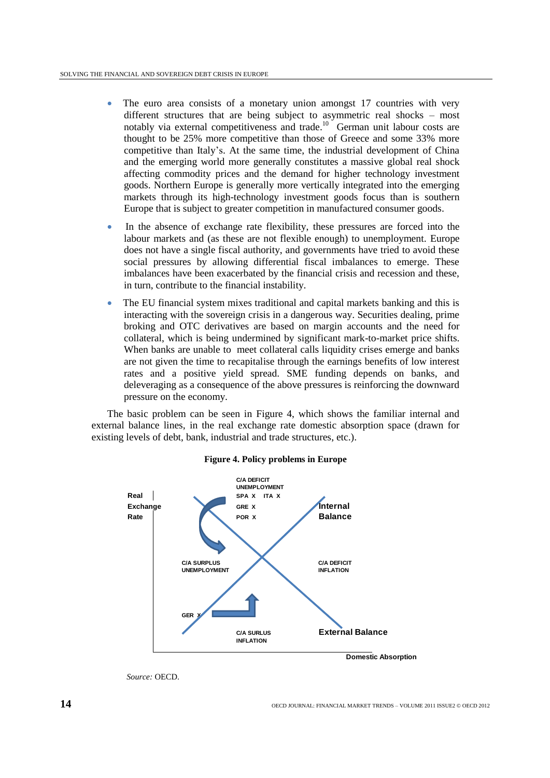- The euro area consists of a monetary union amongst 17 countries with very different structures that are being subject to asymmetric real shocks – most notably via external competitiveness and trade. <sup>10</sup> German unit labour costs are thought to be 25% more competitive than those of Greece and some 33% more competitive than Italy"s. At the same time, the industrial development of China and the emerging world more generally constitutes a massive global real shock affecting commodity prices and the demand for higher technology investment goods. Northern Europe is generally more vertically integrated into the emerging markets through its high-technology investment goods focus than is southern Europe that is subject to greater competition in manufactured consumer goods.
- In the absence of exchange rate flexibility, these pressures are forced into the labour markets and (as these are not flexible enough) to unemployment. Europe does not have a single fiscal authority, and governments have tried to avoid these social pressures by allowing differential fiscal imbalances to emerge. These imbalances have been exacerbated by the financial crisis and recession and these, in turn, contribute to the financial instability.
- The EU financial system mixes traditional and capital markets banking and this is interacting with the sovereign crisis in a dangerous way. Securities dealing, prime broking and OTC derivatives are based on margin accounts and the need for collateral, which is being undermined by significant mark-to-market price shifts. When banks are unable to meet collateral calls liquidity crises emerge and banks are not given the time to recapitalise through the earnings benefits of low interest rates and a positive yield spread. SME funding depends on banks, and deleveraging as a consequence of the above pressures is reinforcing the downward pressure on the economy.

The basic problem can be seen in Figure 4, which shows the familiar internal and external balance lines, in the real exchange rate domestic absorption space (drawn for existing levels of debt, bank, industrial and trade structures, etc.).



## **Figure 4. Policy problems in Europe**

*Source:* OECD.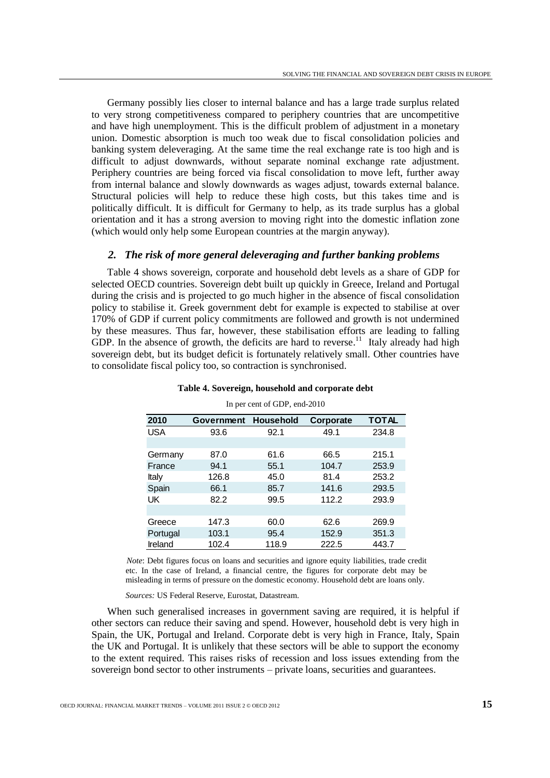Germany possibly lies closer to internal balance and has a large trade surplus related to very strong competitiveness compared to periphery countries that are uncompetitive and have high unemployment. This is the difficult problem of adjustment in a monetary union. Domestic absorption is much too weak due to fiscal consolidation policies and banking system deleveraging. At the same time the real exchange rate is too high and is difficult to adjust downwards, without separate nominal exchange rate adjustment. Periphery countries are being forced via fiscal consolidation to move left, further away from internal balance and slowly downwards as wages adjust, towards external balance. Structural policies will help to reduce these high costs, but this takes time and is politically difficult. It is difficult for Germany to help, as its trade surplus has a global orientation and it has a strong aversion to moving right into the domestic inflation zone (which would only help some European countries at the margin anyway).

## *2. The risk of more general deleveraging and further banking problems*

Table 4 shows sovereign, corporate and household debt levels as a share of GDP for selected OECD countries. Sovereign debt built up quickly in Greece, Ireland and Portugal during the crisis and is projected to go much higher in the absence of fiscal consolidation policy to stabilise it. Greek government debt for example is expected to stabilise at over 170% of GDP if current policy commitments are followed and growth is not undermined by these measures. Thus far, however, these stabilisation efforts are leading to falling GDP. In the absence of growth, the deficits are hard to reverse.<sup>11</sup> Italy already had high sovereign debt, but its budget deficit is fortunately relatively small. Other countries have to consolidate fiscal policy too, so contraction is synchronised.

| 2010     | Government | Household | Corporate | <b>TOTAL</b> |
|----------|------------|-----------|-----------|--------------|
| USA      | 93.6       | 92.1      | 49.1      | 234.8        |
|          |            |           |           |              |
| Germany  | 87.0       | 61.6      | 66.5      | 215.1        |
| France   | 94.1       | 55.1      | 104.7     | 253.9        |
| Italy    | 126.8      | 45.0      | 81.4      | 253.2        |
| Spain    | 66.1       | 85.7      | 141.6     | 293.5        |
| UK       | 82.2       | 99.5      | 112.2     | 293.9        |
|          |            |           |           |              |
| Greece   | 147.3      | 60.0      | 62.6      | 269.9        |
| Portugal | 103.1      | 95.4      | 152.9     | 351.3        |
| Ireland  | 102.4      | 118.9     | 222.5     | 443.7        |

**Table 4. Sovereign, household and corporate debt**

In per cent of GDP, end-2010

*Note*: Debt figures focus on loans and securities and ignore equity liabilities, trade credit etc. In the case of Ireland, a financial centre, the figures for corporate debt may be exterm the class of fictuation, a finality centre, the figures for corporate debt may be misleading in terms of pressure on the domestic economy. Household debt are loans only. Level in the case of Ireland, and securities and ignore equipment ang in terms or pressure on the domestic economy. Household are

*Sources:* US Federal Reserve, Eurostat, Datastream.

When such generalised increases in government saving are required, it is helpful if other sectors can reduce their saving and spend. However, household debt is very high in Spain, the UK, Portugal and Ireland. Corporate debt is very high in France, Italy, Spain the UK and Portugal. It is unlikely that these sectors will be able to support the economy to the extent required. This raises risks of recession and loss issues extending from the sovereign bond sector to other instruments – private loans, securities and guarantees.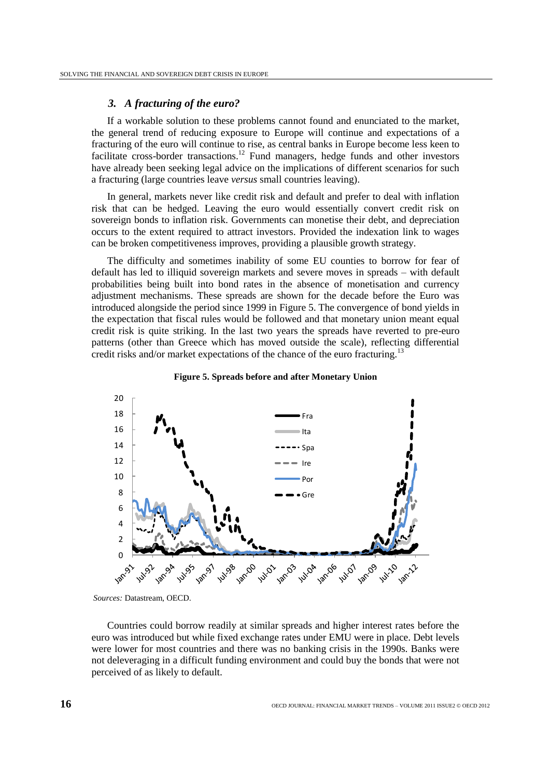### *3. A fracturing of the euro?*

If a workable solution to these problems cannot found and enunciated to the market, the general trend of reducing exposure to Europe will continue and expectations of a fracturing of the euro will continue to rise, as central banks in Europe become less keen to facilitate cross-border transactions.<sup>12</sup> Fund managers, hedge funds and other investors have already been seeking legal advice on the implications of different scenarios for such a fracturing (large countries leave *versus* small countries leaving).

In general, markets never like credit risk and default and prefer to deal with inflation risk that can be hedged. Leaving the euro would essentially convert credit risk on sovereign bonds to inflation risk. Governments can monetise their debt, and depreciation occurs to the extent required to attract investors. Provided the indexation link to wages can be broken competitiveness improves, providing a plausible growth strategy.

The difficulty and sometimes inability of some EU counties to borrow for fear of default has led to illiquid sovereign markets and severe moves in spreads – with default probabilities being built into bond rates in the absence of monetisation and currency adjustment mechanisms. These spreads are shown for the decade before the Euro was introduced alongside the period since 1999 in Figure 5. The convergence of bond yields in the expectation that fiscal rules would be followed and that monetary union meant equal credit risk is quite striking. In the last two years the spreads have reverted to pre-euro patterns (other than Greece which has moved outside the scale), reflecting differential credit risks and/or market expectations of the chance of the euro fracturing.<sup>13</sup>





*Sources:* Datastream, OECD.

Countries could borrow readily at similar spreads and higher interest rates before the euro was introduced but while fixed exchange rates under EMU were in place. Debt levels were lower for most countries and there was no banking crisis in the 1990s. Banks were not deleveraging in a difficult funding environment and could buy the bonds that were not perceived of as likely to default.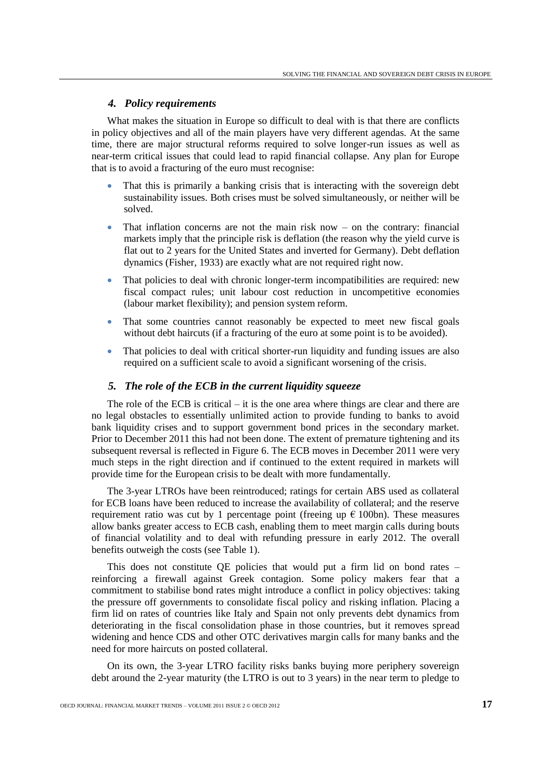## *4. Policy requirements*

What makes the situation in Europe so difficult to deal with is that there are conflicts in policy objectives and all of the main players have very different agendas. At the same time, there are major structural reforms required to solve longer-run issues as well as near-term critical issues that could lead to rapid financial collapse. Any plan for Europe that is to avoid a fracturing of the euro must recognise:

- That this is primarily a banking crisis that is interacting with the sovereign debt sustainability issues. Both crises must be solved simultaneously, or neither will be solved.
- That inflation concerns are not the main risk now on the contrary: financial markets imply that the principle risk is deflation (the reason why the yield curve is flat out to 2 years for the United States and inverted for Germany). Debt deflation dynamics (Fisher, 1933) are exactly what are not required right now.
- That policies to deal with chronic longer-term incompatibilities are required: new fiscal compact rules; unit labour cost reduction in uncompetitive economies (labour market flexibility); and pension system reform.
- That some countries cannot reasonably be expected to meet new fiscal goals without debt haircuts (if a fracturing of the euro at some point is to be avoided).
- That policies to deal with critical shorter-run liquidity and funding issues are also required on a sufficient scale to avoid a significant worsening of the crisis.

### *5. The role of the ECB in the current liquidity squeeze*

The role of the ECB is critical – it is the one area where things are clear and there are no legal obstacles to essentially unlimited action to provide funding to banks to avoid bank liquidity crises and to support government bond prices in the secondary market. Prior to December 2011 this had not been done. The extent of premature tightening and its subsequent reversal is reflected in Figure 6. The ECB moves in December 2011 were very much steps in the right direction and if continued to the extent required in markets will provide time for the European crisis to be dealt with more fundamentally.

The 3-year LTROs have been reintroduced; ratings for certain ABS used as collateral for ECB loans have been reduced to increase the availability of collateral; and the reserve requirement ratio was cut by 1 percentage point (freeing up  $\epsilon$  100bn). These measures allow banks greater access to ECB cash, enabling them to meet margin calls during bouts of financial volatility and to deal with refunding pressure in early 2012. The overall benefits outweigh the costs (see Table 1).

This does not constitute QE policies that would put a firm lid on bond rates – reinforcing a firewall against Greek contagion. Some policy makers fear that a commitment to stabilise bond rates might introduce a conflict in policy objectives: taking the pressure off governments to consolidate fiscal policy and risking inflation. Placing a firm lid on rates of countries like Italy and Spain not only prevents debt dynamics from deteriorating in the fiscal consolidation phase in those countries, but it removes spread widening and hence CDS and other OTC derivatives margin calls for many banks and the need for more haircuts on posted collateral.

On its own, the 3-year LTRO facility risks banks buying more periphery sovereign debt around the 2-year maturity (the LTRO is out to 3 years) in the near term to pledge to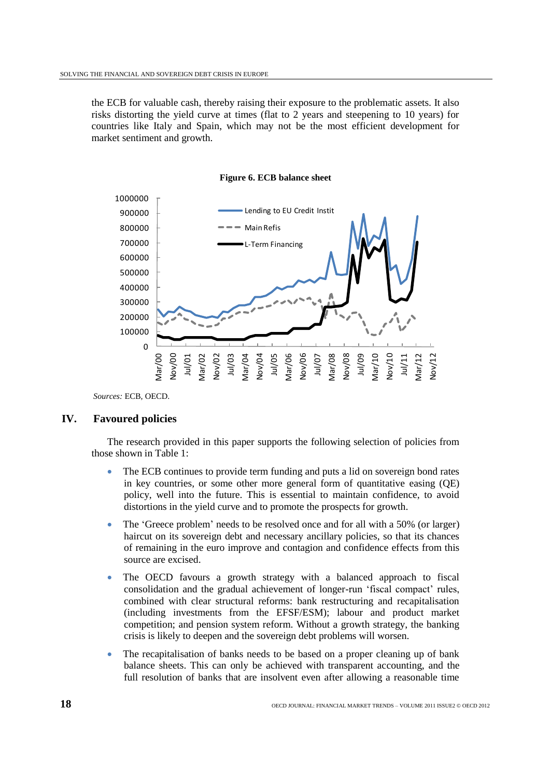the ECB for valuable cash, thereby raising their exposure to the problematic assets. It also risks distorting the yield curve at times (flat to 2 years and steepening to 10 years) for countries like Italy and Spain, which may not be the most efficient development for market sentiment and growth.



**Figure 6. ECB balance sheet**

*Sources:* ECB, OECD.

## **IV. Favoured policies**

The research provided in this paper supports the following selection of policies from those shown in Table 1:

- The ECB continues to provide term funding and puts a lid on sovereign bond rates in key countries, or some other more general form of quantitative easing (QE) policy, well into the future. This is essential to maintain confidence, to avoid distortions in the yield curve and to promote the prospects for growth.
- The 'Greece problem' needs to be resolved once and for all with a 50% (or larger) haircut on its sovereign debt and necessary ancillary policies, so that its chances of remaining in the euro improve and contagion and confidence effects from this source are excised.
- The OECD favours a growth strategy with a balanced approach to fiscal consolidation and the gradual achievement of longer-run "fiscal compact" rules, combined with clear structural reforms: bank restructuring and recapitalisation (including investments from the EFSF/ESM); labour and product market competition; and pension system reform. Without a growth strategy, the banking crisis is likely to deepen and the sovereign debt problems will worsen.
- The recapitalisation of banks needs to be based on a proper cleaning up of bank balance sheets. This can only be achieved with transparent accounting, and the full resolution of banks that are insolvent even after allowing a reasonable time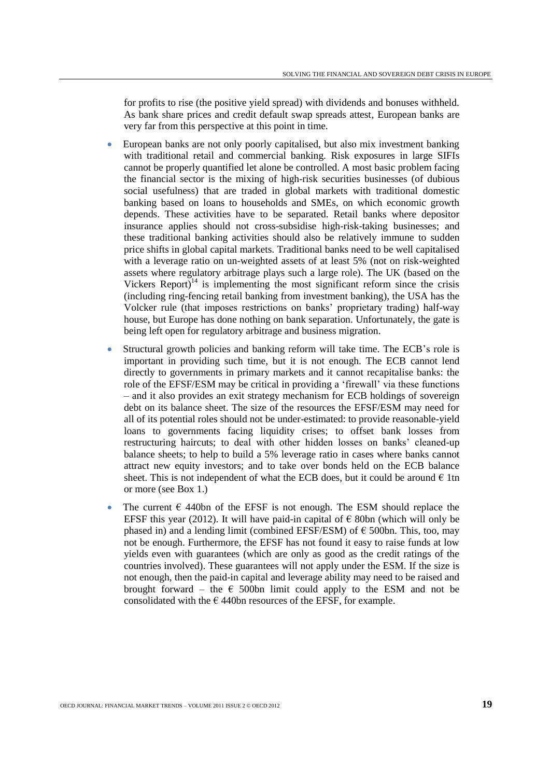for profits to rise (the positive yield spread) with dividends and bonuses withheld. As bank share prices and credit default swap spreads attest, European banks are very far from this perspective at this point in time.

- European banks are not only poorly capitalised, but also mix investment banking with traditional retail and commercial banking. Risk exposures in large SIFIs cannot be properly quantified let alone be controlled. A most basic problem facing the financial sector is the mixing of high-risk securities businesses (of dubious social usefulness) that are traded in global markets with traditional domestic banking based on loans to households and SMEs, on which economic growth depends. These activities have to be separated. Retail banks where depositor insurance applies should not cross-subsidise high-risk-taking businesses; and these traditional banking activities should also be relatively immune to sudden price shifts in global capital markets. Traditional banks need to be well capitalised with a leverage ratio on un-weighted assets of at least 5% (not on risk-weighted assets where regulatory arbitrage plays such a large role). The UK (based on the Vickers Report) $14$  is implementing the most significant reform since the crisis (including ring-fencing retail banking from investment banking), the USA has the Volcker rule (that imposes restrictions on banks" proprietary trading) half-way house, but Europe has done nothing on bank separation. Unfortunately, the gate is being left open for regulatory arbitrage and business migration.
- Structural growth policies and banking reform will take time. The ECB"s role is important in providing such time, but it is not enough. The ECB cannot lend directly to governments in primary markets and it cannot recapitalise banks: the role of the EFSF/ESM may be critical in providing a "firewall" via these functions – and it also provides an exit strategy mechanism for ECB holdings of sovereign debt on its balance sheet. The size of the resources the EFSF/ESM may need for all of its potential roles should not be under-estimated: to provide reasonable-yield loans to governments facing liquidity crises; to offset bank losses from restructuring haircuts; to deal with other hidden losses on banks' cleaned-up balance sheets; to help to build a 5% leverage ratio in cases where banks cannot attract new equity investors; and to take over bonds held on the ECB balance sheet. This is not independent of what the ECB does, but it could be around  $\epsilon$  1tn or more (see Box 1.)
- The current  $\epsilon$  440bn of the EFSF is not enough. The ESM should replace the EFSF this year (2012). It will have paid-in capital of  $\epsilon$  80bn (which will only be phased in) and a lending limit (combined EFSF/ESM) of  $\epsilon$  500bn. This, too, may not be enough. Furthermore, the EFSF has not found it easy to raise funds at low yields even with guarantees (which are only as good as the credit ratings of the countries involved). These guarantees will not apply under the ESM. If the size is not enough, then the paid-in capital and leverage ability may need to be raised and brought forward – the  $\epsilon$  500bn limit could apply to the ESM and not be consolidated with the  $\epsilon$  440bn resources of the EFSF, for example.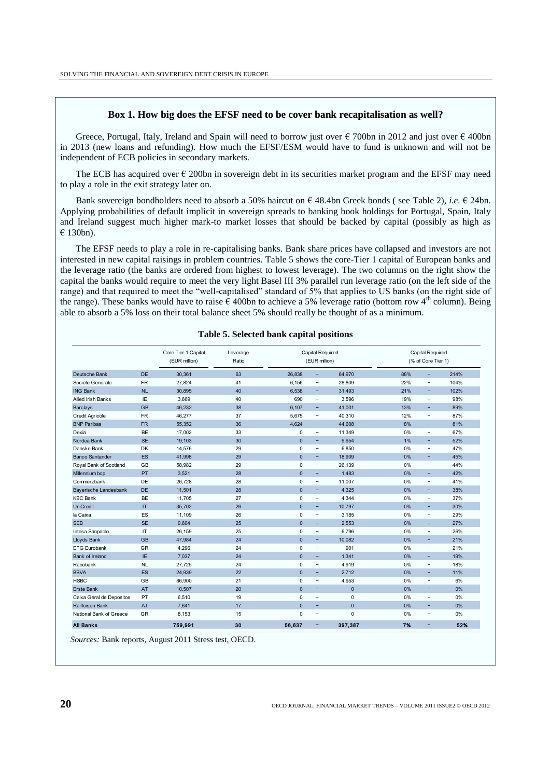#### **Box 1. How big does the EFSF need to be cover bank recapitalisation as well?**

Greece, Portugal, Italy, Ireland and Spain will need to borrow just over  $\epsilon$  700bn in 2012 and just over  $\epsilon$  400bn in 2013 (new loans and refunding). How much the EFSF/ESM would have to fund is unknown and will not be independent of ECB policies in secondary markets.

The ECB has acquired over  $\epsilon$  200bn in sovereign debt in its securities market program and the EFSF may need to play a role in the exit strategy later on.

Bank sovereign bondholders need to absorb a 50% haircut on € 48.4bn Greek bonds ( see Table 2), *i.e.* € 24bn. Applying probabilities of default implicit in sovereign spreads to banking book holdings for Portugal, Spain, Italy and Ireland suggest much higher mark-to market losses that should be backed by capital (possibly as high as € 130bn).

The EFSF needs to play a role in re-capitalising banks. Bank share prices have collapsed and investors are not interested in new capital raisings in problem countries. Table 5 shows the core-Tier 1 capital of European banks and the leverage ratio (the banks are ordered from highest to lowest leverage). The two columns on the right show the capital the banks would require to meet the very light Basel III 3% parallel run leverage ratio (on the left side of the range) and that required to meet the "well-capitalised" standard of 5% that applies to US banks (on the right side of the range). These banks would have to raise  $\epsilon$  400bn to achieve a 5% leverage ratio (bottom row 4<sup>th</sup> column). Being able to absorb a 5% loss on their total balance sheet 5% should really be thought of as a minimum.

|                           |              | Core Tier 1 Capital<br>(EUR million) | Leverage<br>Ratio | Capital Required<br>(EUR million) |                          | Capital Required<br>(% of Core Tier 1) |     |                          |      |
|---------------------------|--------------|--------------------------------------|-------------------|-----------------------------------|--------------------------|----------------------------------------|-----|--------------------------|------|
| Deutsche Bank             | <b>DE</b>    | 30.361                               | 63                | 26.838                            | н.                       | 64.970                                 | 88% | -                        | 214% |
| Societe Generale          | <b>FR</b>    | 27.824                               | 41                | 6.156                             | $\qquad \qquad -$        | 28.809                                 | 22% | -                        | 104% |
| <b>ING Bank</b>           | NL           | 30,895                               | 40                | 6.538                             | ۰                        | 31,493                                 | 21% | -                        | 102% |
| <b>Allied Irish Banks</b> | IE           | 3,669                                | 40                | 690                               | $\overline{\phantom{0}}$ | 3,596                                  | 19% | -                        | 98%  |
| <b>Barclays</b>           | <b>GB</b>    | 46.232                               | 38                | 6.107                             | Ξ.                       | 41,001                                 | 13% | ÷,                       | 89%  |
| <b>Credit Agricole</b>    | <b>FR</b>    | 46.277                               | 37                | 5.675                             | $\qquad \qquad -$        | 40.310                                 | 12% | $\overline{\phantom{0}}$ | 87%  |
| <b>BNP Paribas</b>        | <b>FR</b>    | 55,352                               | 36                | 4,624                             | -                        | 44,608                                 | 8%  | -                        | 81%  |
| Dexia                     | <b>BE</b>    | 17,002                               | 33                | $\mathbf 0$                       | $\overline{\phantom{0}}$ | 11,349                                 | 0%  | -                        | 67%  |
| Nordea Bank               | <b>SE</b>    | 19,103                               | 30                | $\mathbf{0}$                      | ÷                        | 9.954                                  | 1%  | Ξ.                       | 52%  |
| Danske Bank               | <b>DK</b>    | 14,576                               | 29                | 0                                 | $\qquad \qquad -$        | 6.850                                  | 0%  | $\overline{\phantom{0}}$ | 47%  |
| <b>Banco Santander</b>    | <b>ES</b>    | 41,998                               | 29                | $\mathbf{0}$                      | ٠                        | 18,909                                 | 0%  | Ξ.                       | 45%  |
| Royal Bank of Scotland    | GB           | 58,982                               | 29                | $\mathbf 0$                       | $\qquad \qquad -$        | 26.139                                 | 0%  | -                        | 44%  |
| Millennium bcp            | PT           | 3,521                                | 28                | $\mathbf{0}$                      | ٠                        | 1.483                                  | 0%  | -                        | 42%  |
| Commerzbank               | DE           | 26,728                               | 28                | $\mathbf 0$                       | $\qquad \qquad -$        | 11,007                                 | 0%  | $\overline{\phantom{0}}$ | 41%  |
| Bayerische Landesbank     | <b>DE</b>    | 11,501                               | 28                | $\mathbf{0}$                      | ٠                        | 4.325                                  | 0%  | -                        | 38%  |
| <b>KBC Bank</b>           | <b>BE</b>    | 11.705                               | 27                | $\mathbf 0$                       | $\qquad \qquad -$        | 4.344                                  | 0%  | -                        | 37%  |
| UniCredit                 | $\mathsf{I}$ | 35,702                               | 26                | $\Omega$                          | ٠                        | 10.797                                 | 0%  | Ξ.                       | 30%  |
| la Caixa                  | ES           | 11.109                               | 26                | 0                                 | $\overline{\phantom{0}}$ | 3.185                                  | 0%  | $\overline{\phantom{0}}$ | 29%  |
| <b>SEB</b>                | <b>SE</b>    | 9,604                                | 25                | $\Omega$                          | ٠                        | 2,553                                  | 0%  | Ξ.                       | 27%  |
| Intesa Sanpaolo           | IT           | 26,159                               | 25                | $\mathbf 0$                       | $\qquad \qquad -$        | 6,796                                  | 0%  | $\overline{\phantom{0}}$ | 26%  |
| Lloyds Bank               | <b>GB</b>    | 47.984                               | 24                | $\mathbf{0}$                      | ۰                        | 10.082                                 | 0%  | Ξ.                       | 21%  |
| <b>EFG Eurobank</b>       | GR           | 4,296                                | 24                | $\mathbf 0$                       | $\overline{\phantom{0}}$ | 901                                    | 0%  | $\overline{\phantom{0}}$ | 21%  |
| <b>Bank of Ireland</b>    | IE           | 7.037                                | 24                | $\Omega$                          | ٠                        | 1,341                                  | 0%  | -                        | 19%  |
| Rabobank                  | <b>NL</b>    | 27,725                               | 24                | $\mathbf 0$                       | $\overline{\phantom{0}}$ | 4,919                                  | 0%  | -                        | 18%  |
| <b>BBVA</b>               | <b>ES</b>    | 24.939                               | 22                | $\mathbf{0}$                      | ٠                        | 2.712                                  | 0%  | Ξ.                       | 11%  |
| <b>HSBC</b>               | GB           | 86,900                               | 21                | 0                                 | $\qquad \qquad -$        | 4,953                                  | 0%  | -                        | 6%   |
| <b>Erste Bank</b>         | <b>AT</b>    | 10.507                               | 20                | $\mathbf{0}$                      | ٠                        | $\mathbf{0}$                           | 0%  | Ξ.                       | 0%   |
| Caixa Geral de Depositos  | PT           | 6,510                                | 19                | $\mathbf 0$                       | $\qquad \qquad -$        | $\mathbf 0$                            | 0%  | $\qquad \qquad -$        | 0%   |
| Raiffeisen Bank           | <b>AT</b>    | 7.641                                | 17                | $\Omega$                          | ٠                        | $\mathbf{0}$                           | 0%  | -                        | 0%   |
| National Bank of Greece   | GR           | 8,153                                | 15                | $\Omega$                          | $\qquad \qquad -$        | $\mathbf 0$                            | 0%  | -                        | 0%   |
| <b>All Banks</b>          |              | 759,991                              | 30                | 56.637                            | ٠                        | 397,387                                | 7%  | -                        | 52%  |

#### **Table 5. Selected bank capital positions**

*Sources:* Bank reports, August 2011 Stress test, OECD.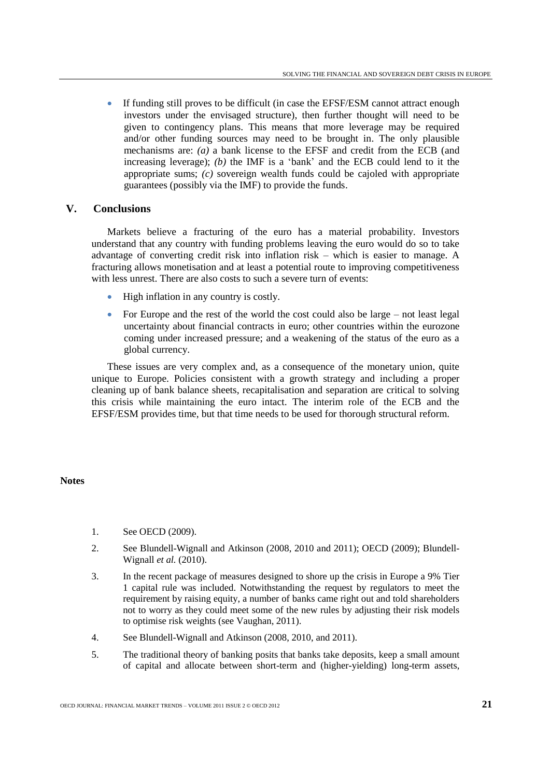If funding still proves to be difficult (in case the EFSF/ESM cannot attract enough investors under the envisaged structure), then further thought will need to be given to contingency plans. This means that more leverage may be required and/or other funding sources may need to be brought in. The only plausible mechanisms are: *(a)* a bank license to the EFSF and credit from the ECB (and increasing leverage); *(b)* the IMF is a "bank" and the ECB could lend to it the appropriate sums; *(c)* sovereign wealth funds could be cajoled with appropriate guarantees (possibly via the IMF) to provide the funds.

## **V. Conclusions**

Markets believe a fracturing of the euro has a material probability. Investors understand that any country with funding problems leaving the euro would do so to take advantage of converting credit risk into inflation risk – which is easier to manage. A fracturing allows monetisation and at least a potential route to improving competitiveness with less unrest. There are also costs to such a severe turn of events:

- High inflation in any country is costly.
- For Europe and the rest of the world the cost could also be large not least legal uncertainty about financial contracts in euro; other countries within the eurozone coming under increased pressure; and a weakening of the status of the euro as a global currency.

These issues are very complex and, as a consequence of the monetary union, quite unique to Europe. Policies consistent with a growth strategy and including a proper cleaning up of bank balance sheets, recapitalisation and separation are critical to solving this crisis while maintaining the euro intact. The interim role of the ECB and the EFSF/ESM provides time, but that time needs to be used for thorough structural reform.

#### **Notes**

- 1. See OECD (2009).
- 2. See Blundell-Wignall and Atkinson (2008, 2010 and 2011); OECD (2009); Blundell-Wignall *et al.* (2010).
- 3. In the recent package of measures designed to shore up the crisis in Europe a 9% Tier 1 capital rule was included. Notwithstanding the request by regulators to meet the requirement by raising equity, a number of banks came right out and told shareholders not to worry as they could meet some of the new rules by adjusting their risk models to optimise risk weights (see Vaughan, 2011).
- 4. See Blundell-Wignall and Atkinson (2008, 2010, and 2011).
- 5. The traditional theory of banking posits that banks take deposits, keep a small amount of capital and allocate between short-term and (higher-yielding) long-term assets,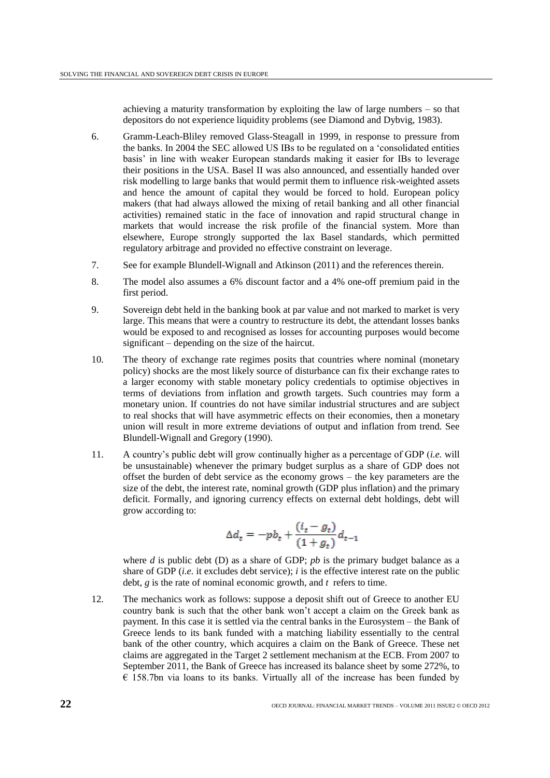achieving a maturity transformation by exploiting the law of large numbers – so that depositors do not experience liquidity problems (see Diamond and Dybvig, 1983).

- 6. Gramm-Leach-Bliley removed Glass-Steagall in 1999, in response to pressure from the banks. In 2004 the SEC allowed US IBs to be regulated on a "consolidated entities basis" in line with weaker European standards making it easier for IBs to leverage their positions in the USA. Basel II was also announced, and essentially handed over risk modelling to large banks that would permit them to influence risk-weighted assets and hence the amount of capital they would be forced to hold. European policy makers (that had always allowed the mixing of retail banking and all other financial activities) remained static in the face of innovation and rapid structural change in markets that would increase the risk profile of the financial system. More than elsewhere, Europe strongly supported the lax Basel standards, which permitted regulatory arbitrage and provided no effective constraint on leverage.
- 7. See for example Blundell-Wignall and Atkinson (2011) and the references therein.
- 8. The model also assumes a 6% discount factor and a 4% one-off premium paid in the first period.
- 9. Sovereign debt held in the banking book at par value and not marked to market is very large. This means that were a country to restructure its debt, the attendant losses banks would be exposed to and recognised as losses for accounting purposes would become significant – depending on the size of the haircut.
- 10. The theory of exchange rate regimes posits that countries where nominal (monetary policy) shocks are the most likely source of disturbance can fix their exchange rates to a larger economy with stable monetary policy credentials to optimise objectives in terms of deviations from inflation and growth targets. Such countries may form a monetary union. If countries do not have similar industrial structures and are subject to real shocks that will have asymmetric effects on their economies, then a monetary union will result in more extreme deviations of output and inflation from trend. See Blundell-Wignall and Gregory (1990).
- 11. A country"s public debt will grow continually higher as a percentage of GDP (*i.e.* will be unsustainable) whenever the primary budget surplus as a share of GDP does not offset the burden of debt service as the economy grows – the key parameters are the size of the debt, the interest rate, nominal growth (GDP plus inflation) and the primary deficit. Formally, and ignoring currency effects on external debt holdings, debt will grow according to:

$$
\Delta d_t = -pb_t + \frac{(i_t - g_t)}{(1 + g_t)}d_{t-1}
$$

where *d* is public debt (D) as a share of GDP; *pb* is the primary budget balance as a share of GDP (*i.e.* it excludes debt service); *i* is the effective interest rate on the public debt, *g* is the rate of nominal economic growth, and *t* refers to time.

12. The mechanics work as follows: suppose a deposit shift out of Greece to another EU country bank is such that the other bank won"t accept a claim on the Greek bank as payment. In this case it is settled via the central banks in the Eurosystem – the Bank of Greece lends to its bank funded with a matching liability essentially to the central bank of the other country, which acquires a claim on the Bank of Greece. These net claims are aggregated in the Target 2 settlement mechanism at the ECB. From 2007 to September 2011, the Bank of Greece has increased its balance sheet by some 272%, to  $\epsilon$  158.7bn via loans to its banks. Virtually all of the increase has been funded by